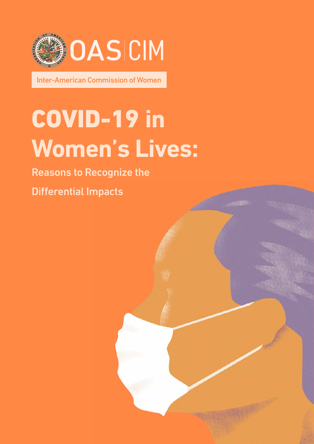

Inter-American Commission of Women

# COVID-19 **in Women's Lives:**

#### Reasons to Recognize the

Differential Impacts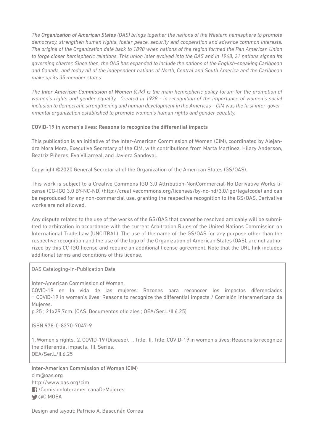*The Organization of American States (OAS) brings together the nations of the Western hemisphere to promote democracy, strengthen human rights, foster peace, security and cooperation and advance common interests. The origins of the Organization date back to 1890 when nations of the region formed the Pan American Union to forge closer hemispheric relations. This union later evolved into the OAS and in 1948, 21 nations signed its governing charter. Since then, the OAS has expanded to include the nations of the English-speaking Caribbean and Canada, and today all of the independent nations of North, Central and South America and the Caribbean make up its 35 member states.* 

*The Inter-American Commission of Women (CIM) is the main hemispheric policy forum for the promotion of women's rights and gender equality. Created in 1928 - in recognition of the importance of women's social inclusion to democratic strengthening and human development in the Americas – CIM was the first inter-governmental organization established to promote women's human rights and gender equality.* 

#### COVID-19 in women's lives: Reasons to recognize the differential impacts

This publication is an initiative of the Inter-American Commission of Women (CIM), coordinated by Alejandra Mora Mora, Executive Secretary of the CIM, with contributions from Marta Martínez, Hilary Anderson, Beatriz Piñeres, Eva Villarreal, and Javiera Sandoval.

Copyright ©2020 General Secretariat of the Organization of the American States (GS/OAS).

This work is subject to a Creative Commons IGO 3.0 Attribution-NonCommercial-No Derivative Works license (CG-IGO 3.0 BY-NC-ND) (http://creativecommons.org/licenses/by-nc-nd/3.0/igo/legalcode) and can be reproduced for any non-commercial use, granting the respective recognition to the GS/OAS. Derivative works are not allowed.

Any dispute related to the use of the works of the GS/OAS that cannot be resolved amicably will be submitted to arbitration in accordance with the current Arbitration Rules of the United Nations Commission on International Trade Law (UNCITRAL). The use of the name of the GS/OAS for any purpose other than the respective recognition and the use of the logo of the Organization of American States (OAS), are not authorized by this CC-IGO license and require an additional license agreement. Note that the URL link includes additional terms and conditions of this license.

OAS Cataloging-in-Publication Data

Inter-American Commission of Women.

COVID-19 en la vida de las mujeres: Razones para reconocer los impactos diferenciados = COVID-19 in women's lives: Reasons to recognize the differential impacts / Comisión Interamericana de Mujeres.

p.25 ; 21x29,7cm. (OAS. Documentos oficiales ; OEA/Ser.L/II.6.25)

ISBN 978-0-8270-7047-9

1. Women's rights. 2. COVID-19 (Disease). I. Title. II. Title: COVID-19 in women's lives: Reasons to recognize the differential impacts. III. Series. OEA/Ser.L/II.6.25

Inter-American Commission of Women (CIM) cim@oas.org http://www.oas.org/cim /ComisionInteramericanaDeMujeres **◆** @CIMOEA

Design and layout: Patricio A. Bascuñán Correa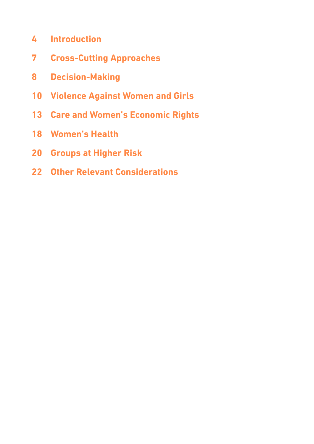- **[Introduction](#page-3-0)**
- **[Cross-Cutting Approaches](#page-6-0)**
- **[Decision-Making](#page-7-0)**
- **[Violence Against Women and Girls](#page-9-0)**
- **[Care and Women's Economic Rights](#page-12-0)**
- **[Women's Health](#page-17-0)**
- **[Groups at Higher Risk](#page-19-0)**
- **[Other Relevant Considerations](#page-21-0)**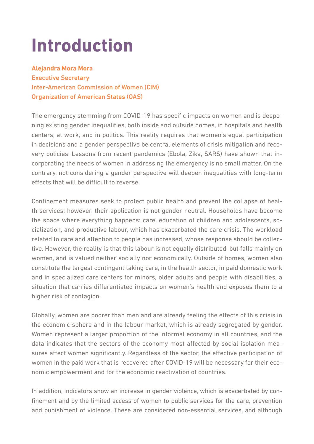## <span id="page-3-0"></span>**Introduction**

**Alejandra Mora Mora** Executive Secretary Inter-American Commission of Women (CIM) Organization of American States (OAS)

The emergency stemming from COVID-19 has specific impacts on women and is deepening existing gender inequalities, both inside and outside homes, in hospitals and health centers, at work, and in politics. This reality requires that women's equal participation in decisions and a gender perspective be central elements of crisis mitigation and recovery policies. Lessons from recent pandemics (Ebola, Zika, SARS) have shown that incorporating the needs of women in addressing the emergency is no small matter. On the contrary, not considering a gender perspective will deepen inequalities with long-term effects that will be difficult to reverse.

Confinement measures seek to protect public health and prevent the collapse of health services; however, their application is not gender neutral. Households have become the space where everything happens: care, education of children and adolescents, socialization, and productive labour, which has exacerbated the care crisis. The workload related to care and attention to people has increased, whose response should be collective. However, the reality is that this labour is not equally distributed, but falls mainly on women, and is valued neither socially nor economically. Outside of homes, women also constitute the largest contingent taking care, in the health sector, in paid domestic work and in specialized care centers for minors, older adults and people with disabilities, a situation that carries differentiated impacts on women's health and exposes them to a higher risk of contagion.

Globally, women are poorer than men and are already feeling the effects of this crisis in the economic sphere and in the labour market, which is already segregated by gender. Women represent a larger proportion of the informal economy in all countries, and the data indicates that the sectors of the economy most affected by social isolation measures affect women significantly. Regardless of the sector, the effective participation of women in the paid work that is recovered after COVID-19 will be necessary for their economic empowerment and for the economic reactivation of countries.

In addition, indicators show an increase in gender violence, which is exacerbated by confinement and by the limited access of women to public services for the care, prevention and punishment of violence. These are considered non-essential services, and although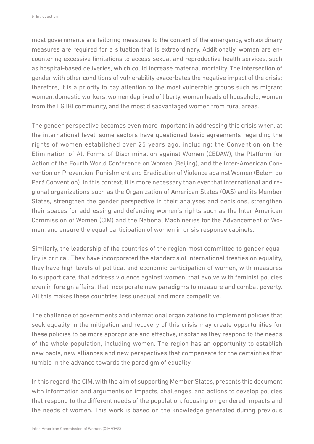most governments are tailoring measures to the context of the emergency, extraordinary measures are required for a situation that is extraordinary. Additionally, women are encountering excessive limitations to access sexual and reproductive health services, such as hospital-based deliveries, which could increase maternal mortality. The intersection of gender with other conditions of vulnerability exacerbates the negative impact of the crisis; therefore, it is a priority to pay attention to the most vulnerable groups such as migrant women, domestic workers, women deprived of liberty, women heads of household, women from the LGTBI community, and the most disadvantaged women from rural areas.

The gender perspective becomes even more important in addressing this crisis when, at the international level, some sectors have questioned basic agreements regarding the rights of women established over 25 years ago, including: the Convention on the Elimination of All Forms of Discrimination against Women (CEDAW), the Platform for Action of the Fourth World Conference on Women (Beijing), and the Inter-American Convention on Prevention, Punishment and Eradication of Violence against Women (Belem do Pará Convention). In this context, it is more necessary than ever that international and regional organizations such as the Organization of American States (OAS) and its Member States, strengthen the gender perspective in their analyses and decisions, strengthen their spaces for addressing and defending women's rights such as the Inter-American Commission of Women (CIM) and the National Machineries for the Advancement of Women, and ensure the equal participation of women in crisis response cabinets.

Similarly, the leadership of the countries of the region most committed to gender equality is critical. They have incorporated the standards of international treaties on equality, they have high levels of political and economic participation of women, with measures to support care, that address violence against women, that evolve with feminist policies even in foreign affairs, that incorporate new paradigms to measure and combat poverty. All this makes these countries less unequal and more competitive.

The challenge of governments and international organizations to implement policies that seek equality in the mitigation and recovery of this crisis may create opportunities for these policies to be more appropriate and effective, insofar as they respond to the needs of the whole population, including women. The region has an opportunity to establish new pacts, new alliances and new perspectives that compensate for the certainties that tumble in the advance towards the paradigm of equality.

In this regard, the CIM, with the aim of supporting Member States, presents this document with information and arguments on impacts, challenges, and actions to develop policies that respond to the different needs of the population, focusing on gendered impacts and the needs of women. This work is based on the knowledge generated during previous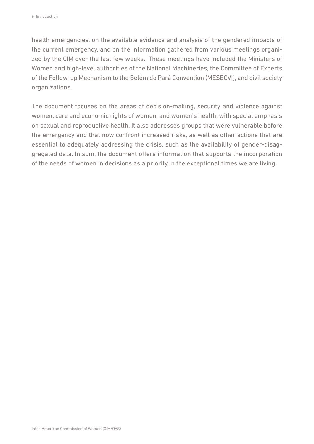health emergencies, on the available evidence and analysis of the gendered impacts of the current emergency, and on the information gathered from various meetings organized by the CIM over the last few weeks. These meetings have included the Ministers of Women and high-level authorities of the National Machineries, the Committee of Experts of the Follow-up Mechanism to the Belém do Pará Convention (MESECVI), and civil society organizations.

The document focuses on the areas of decision-making, security and violence against women, care and economic rights of women, and women's health, with special emphasis on sexual and reproductive health. It also addresses groups that were vulnerable before the emergency and that now confront increased risks, as well as other actions that are essential to adequately addressing the crisis, such as the availability of gender-disaggregated data. In sum, the document offers information that supports the incorporation of the needs of women in decisions as a priority in the exceptional times we are living.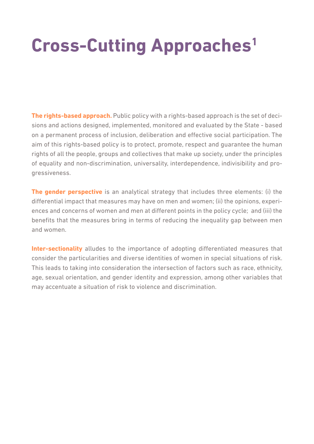## <span id="page-6-0"></span>**Cross-Cutting Approaches1**

**The rights-based approach.** Public policy with a rights-based approach is the set of decisions and actions designed, implemented, monitored and evaluated by the State - based on a permanent process of inclusion, deliberation and effective social participation. The aim of this rights-based policy is to protect, promote, respect and guarantee the human rights of all the people, groups and collectives that make up society, under the principles of equality and non-discrimination, universality, interdependence, indivisibility and progressiveness.

**The gender perspective** is an analytical strategy that includes three elements: (i) the differential impact that measures may have on men and women; (ii) the opinions, experiences and concerns of women and men at different points in the policy cycle; and (iii) the benefits that the measures bring in terms of reducing the inequality gap between men and women.

**Inter-sectionality** alludes to the importance of adopting differentiated measures that consider the particularities and diverse identities of women in special situations of risk. This leads to taking into consideration the intersection of factors such as race, ethnicity, age, sexual orientation, and gender identity and expression, among other variables that may accentuate a situation of risk to violence and discrimination.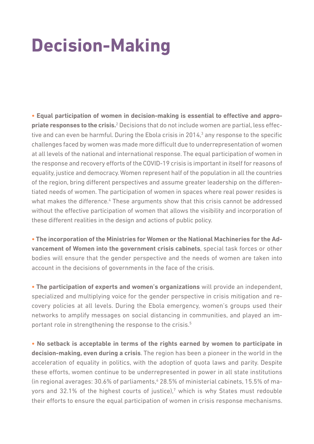## <span id="page-7-0"></span>**Decision-Making**

**• Equal participation of women in decision-making is essential to effective and appro**priate responses to the crisis.<sup>2</sup> Decisions that do not include women are partial, less effective and can even be harmful. During the Ebola crisis in 2014,<sup>3</sup> any response to the specific challenges faced by women was made more difficult due to underrepresentation of women at all levels of the national and international response. The equal participation of women in the response and recovery efforts of the COVID-19 crisis is important in itself for reasons of equality, justice and democracy. Women represent half of the population in all the countries of the region, bring different perspectives and assume greater leadership on the differentiated needs of women. The participation of women in spaces where real power resides is what makes the difference.<sup>4</sup> These arguments show that this crisis cannot be addressed without the effective participation of women that allows the visibility and incorporation of these different realities in the design and actions of public policy.

**• The incorporation of the Ministries for Women or the National Machineries for the Advancement of Women into the government crisis cabinets**, special task forces or other bodies will ensure that the gender perspective and the needs of women are taken into account in the decisions of governments in the face of the crisis.

**• The participation of experts and women's organizations** will provide an independent, specialized and multiplying voice for the gender perspective in crisis mitigation and recovery policies at all levels. During the Ebola emergency, women's groups used their networks to amplify messages on social distancing in communities, and played an important role in strengthening the response to the crisis.<sup>5</sup>

**• No setback is acceptable in terms of the rights earned by women to participate in decision-making, even during a crisis**. The region has been a pioneer in the world in the acceleration of equality in politics, with the adoption of quota laws and parity. Despite these efforts, women continue to be underrepresented in power in all state institutions (in regional averages: 30.6% of parliaments,<sup>6</sup> 28.5% of ministerial cabinets, 15.5% of mayors and  $32.1\%$  of the highest courts of justice),<sup>7</sup> which is why States must redouble their efforts to ensure the equal participation of women in crisis response mechanisms.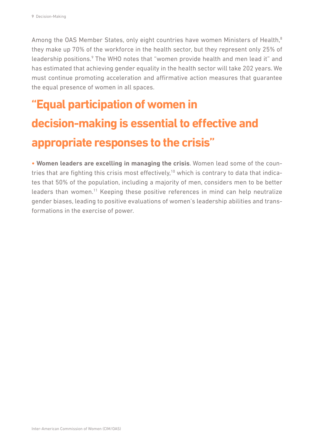Among the OAS Member States, only eight countries have women Ministers of Health,<sup>8</sup> they make up 70% of the workforce in the health sector, but they represent only 25% of leadership positions.<sup>9</sup> The WHO notes that "women provide health and men lead it" and has estimated that achieving gender equality in the health sector will take 202 years. We must continue promoting acceleration and affirmative action measures that guarantee the equal presence of women in all spaces.

### **"Equal participation of women in decision-making is essential to effective and appropriate responses to the crisis"**

**• Women leaders are excelling in managing the crisis**. Women lead some of the countries that are fighting this crisis most effectively,<sup>10</sup> which is contrary to data that indicates that 50% of the population, including a majority of men, considers men to be better leaders than women.11 Keeping these positive references in mind can help neutralize gender biases, leading to positive evaluations of women's leadership abilities and transformations in the exercise of power.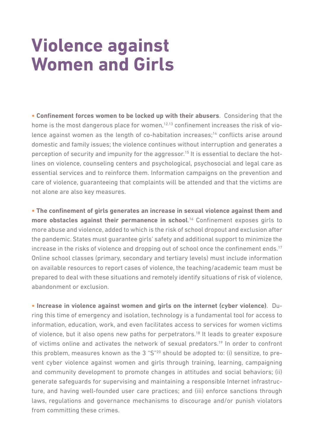## <span id="page-9-0"></span>**Violence against Women and Girls**

**• Confinement forces women to be locked up with their abusers**. Considering that the home is the most dangerous place for women,<sup>12,13</sup> confinement increases the risk of violence against women as the length of co-habitation increases;<sup>14</sup> conflicts arise around domestic and family issues; the violence continues without interruption and generates a perception of security and impunity for the aggressor.<sup>15</sup> It is essential to declare the hotlines on violence, counseling centers and psychological, psychosocial and legal care as essential services and to reinforce them. Information campaigns on the prevention and care of violence, guaranteeing that complaints will be attended and that the victims are not alone are also key measures.

**• The confinement of girls generates an increase in sexual violence against them and**  more obstacles against their permanence in school.<sup>16</sup> Confinement exposes girls to more abuse and violence, added to which is the risk of school dropout and exclusion after the pandemic. States must guarantee girls' safety and additional support to minimize the increase in the risks of violence and dropping out of school once the confinement ends.<sup>17</sup> Online school classes (primary, secondary and tertiary levels) must include information on available resources to report cases of violence, the teaching/academic team must be prepared to deal with these situations and remotely identify situations of risk of violence, abandonment or exclusion.

**• Increase in violence against women and girls on the internet (cyber violence)**. During this time of emergency and isolation, technology is a fundamental tool for access to information, education, work, and even facilitates access to services for women victims of violence, but it also opens new paths for perpetrators.<sup>18</sup> It leads to greater exposure of victims online and activates the network of sexual predators.<sup>19</sup> In order to confront this problem, measures known as the 3 "S"20 should be adopted to: (i) sensitize, to prevent cyber violence against women and girls through training, learning, campaigning and community development to promote changes in attitudes and social behaviors; (ii) generate safeguards for supervising and maintaining a responsible Internet infrastructure, and having well-founded user care practices; and (iii) enforce sanctions through laws, regulations and governance mechanisms to discourage and/or punish violators from committing these crimes.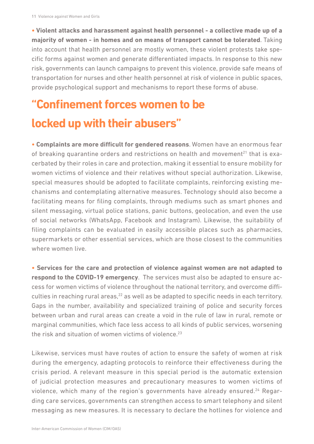**• Violent attacks and harassment against health personnel - a collective made up of a majority of women - in homes and on means of transport cannot be tolerated**. Taking into account that health personnel are mostly women, these violent protests take specific forms against women and generate differentiated impacts. In response to this new risk, governments can launch campaigns to prevent this violence, provide safe means of transportation for nurses and other health personnel at risk of violence in public spaces, provide psychological support and mechanisms to report these forms of abuse.

### **"Confinement forces women to be locked up with their abusers"**

**• Complaints are more difficult for gendered reasons**. Women have an enormous fear of breaking quarantine orders and restrictions on health and movement<sup>21</sup> that is exacerbated by their roles in care and protection, making it essential to ensure mobility for women victims of violence and their relatives without special authorization. Likewise, special measures should be adopted to facilitate complaints, reinforcing existing mechanisms and contemplating alternative measures. Technology should also become a facilitating means for filing complaints, through mediums such as smart phones and silent messaging, virtual police stations, panic buttons, geolocation, and even the use of social networks (WhatsApp, Facebook and Instagram). Likewise, the suitability of filing complaints can be evaluated in easily accessible places such as pharmacies, supermarkets or other essential services, which are those closest to the communities where women live.

**• Services for the care and protection of violence against women are not adapted to respond to the COVID-19 emergency**. The services must also be adapted to ensure access for women victims of violence throughout the national territory, and overcome difficulties in reaching rural areas, $^{22}$  as well as be adapted to specific needs in each territory. Gaps in the number, availability and specialized training of police and security forces between urban and rural areas can create a void in the rule of law in rural, remote or marginal communities, which face less access to all kinds of public services, worsening the risk and situation of women victims of violence. $23$ 

Likewise, services must have routes of action to ensure the safety of women at risk during the emergency, adapting protocols to reinforce their effectiveness during the crisis period. A relevant measure in this special period is the automatic extension of judicial protection measures and precautionary measures to women victims of violence, which many of the region's governments have already ensured.<sup>24</sup> Regarding care services, governments can strengthen access to smart telephony and silent messaging as new measures. It is necessary to declare the hotlines for violence and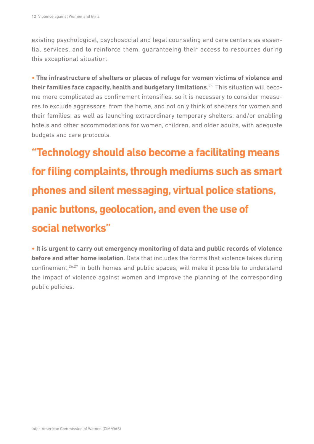existing psychological, psychosocial and legal counseling and care centers as essential services, and to reinforce them, guaranteeing their access to resources during this exceptional situation.

**• The infrastructure of shelters or places of refuge for women victims of violence and their families face capacity, health and budgetary limitations**. <sup>25</sup> This situation will become more complicated as confinement intensifies, so it is necessary to consider measures to exclude aggressors from the home, and not only think of shelters for women and their families; as well as launching extraordinary temporary shelters; and/or enabling hotels and other accommodations for women, children, and older adults, with adequate budgets and care protocols.

**"Technology should also become a facilitating means for filing complaints, through mediums such as smart phones and silent messaging, virtual police stations, panic buttons, geolocation, and even the use of social networks"**

**• It is urgent to carry out emergency monitoring of data and public records of violence before and after home isolation**. Data that includes the forms that violence takes during confinement, $26,27$  in both homes and public spaces, will make it possible to understand the impact of violence against women and improve the planning of the corresponding public policies.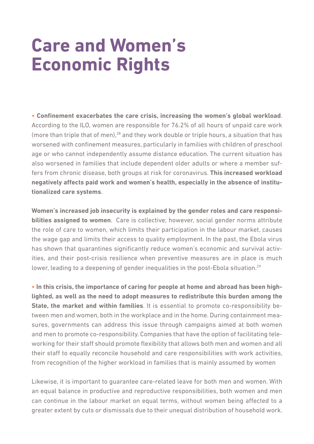## <span id="page-12-0"></span>**Care and Women's Economic Rights**

**• Confinement exacerbates the care crisis, increasing the women's global workload**. According to the ILO, women are responsible for 76.2% of all hours of unpaid care work (more than triple that of men),<sup>28</sup> and they work double or triple hours, a situation that has worsened with confinement measures, particularly in families with children of preschool age or who cannot independently assume distance education. The current situation has also worsened in families that include dependent older adults or where a member suffers from chronic disease, both groups at risk for coronavirus. **This increased workload negatively affects paid work and women's health, especially in the absence of institutionalized care systems**.

**Women's increased job insecurity is explained by the gender roles and care responsibilities assigned to women**. Care is collective; however, social gender norms attribute the role of care to women, which limits their participation in the labour market, causes the wage gap and limits their access to quality employment. In the past, the Ebola virus has shown that quarantines significantly reduce women's economic and survival activities, and their post-crisis resilience when preventive measures are in place is much lower, leading to a deepening of gender inequalities in the post-Ebola situation.<sup>29</sup>

**• In this crisis, the importance of caring for people at home and abroad has been highlighted, as well as the need to adopt measures to redistribute this burden among the State, the market and within families**. It is essential to promote co-responsibility between men and women, both in the workplace and in the home. During containment measures, governments can address this issue through campaigns aimed at both women and men to promote co-responsibility. Companies that have the option of facilitating teleworking for their staff should promote flexibility that allows both men and women and all their staff to equally reconcile household and care responsibilities with work activities, from recognition of the higher workload in families that is mainly assumed by women

Likewise, it is important to guarantee care-related leave for both men and women. With an equal balance in productive and reproductive responsibilities, both women and men can continue in the labour market on equal terms, without women being affected to a greater extent by cuts or dismissals due to their unequal distribution of household work.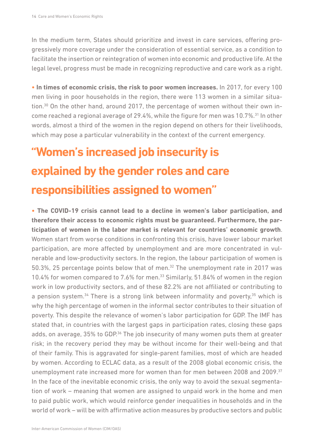In the medium term, States should prioritize and invest in care services, offering progressively more coverage under the consideration of essential service, as a condition to facilitate the insertion or reintegration of women into economic and productive life. At the legal level, progress must be made in recognizing reproductive and care work as a right.

**• In times of economic crisis, the risk to poor women increases.** In 2017, for every 100 men living in poor households in the region, there were 113 women in a similar situation.30 On the other hand, around 2017, the percentage of women without their own income reached a regional average of 29.4%, while the figure for men was 10.7%.31 In other words, almost a third of the women in the region depend on others for their livelihoods, which may pose a particular vulnerability in the context of the current emergency.

### **"Women's increased job insecurity is explained by the gender roles and care responsibilities assigned to women"**

**• The COVID-19 crisis cannot lead to a decline in women's labor participation, and therefore their access to economic rights must be guaranteed. Furthermore, the participation of women in the labor market is relevant for countries' economic growth**. Women start from worse conditions in confronting this crisis, have lower labour market participation, are more affected by unemployment and are more concentrated in vulnerable and low-productivity sectors. In the region, the labour participation of women is 50.3%, 25 percentage points below that of men. $32$  The unemployment rate in 2017 was 10.4% for women compared to 7.6% for men.<sup>33</sup> Similarly, 51.84% of women in the region work in low productivity sectors, and of these 82.2% are not affiliated or contributing to a pension system.<sup>34</sup> There is a strong link between informality and poverty,<sup>35</sup> which is why the high percentage of women in the informal sector contributes to their situation of poverty. This despite the relevance of women's labor participation for GDP. The IMF has stated that, in countries with the largest gaps in participation rates, closing these gaps adds, on average, 35% to GDP.<sup>36</sup> The job insecurity of many women puts them at greater risk; in the recovery period they may be without income for their well-being and that of their family. This is aggravated for single-parent families, most of which are headed by women. According to ECLAC data, as a result of the 2008 global economic crisis, the unemployment rate increased more for women than for men between 2008 and 2009.37 In the face of the inevitable economic crisis, the only way to avoid the sexual segmentation of work – meaning that women are assigned to unpaid work in the home and men to paid public work, which would reinforce gender inequalities in households and in the world of work – will be with affirmative action measures by productive sectors and public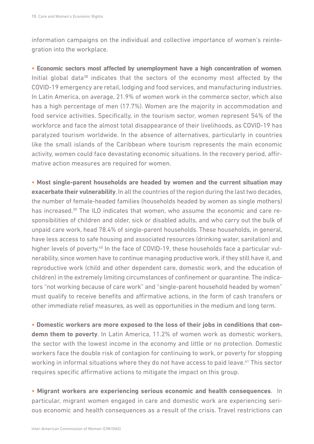information campaigns on the individual and collective importance of women's reintegration into the workplace.

**• Economic sectors most affected by unemployment have a high concentration of women**. Initial global data<sup>38</sup> indicates that the sectors of the economy most affected by the COVID-19 emergency are retail, lodging and food services, and manufacturing industries. In Latin America, on average, 21.9% of women work in the commerce sector, which also has a high percentage of men (17.7%). Women are the majority in accommodation and food service activities. Specifically, in the tourism sector, women represent 54% of the workforce and face the almost total disappearance of their livelihoods, as COVID-19 has paralyzed tourism worldwide. In the absence of alternatives, particularly in countries like the small islands of the Caribbean where tourism represents the main economic activity, women could face devastating economic situations. In the recovery period, affirmative action measures are required for women.

**• Most single-parent households are headed by women and the current situation may exacerbate their vulnerability**. In all the countries of the region during the last two decades, the number of female-headed families (households headed by women as single mothers) has increased.<sup>39</sup> The ILO indicates that women, who assume the economic and care responsibilities of children and older, sick or disabled adults, and who carry out the bulk of unpaid care work, head 78.4% of single-parent households. These households, in general, have less access to safe housing and associated resources (drinking water, sanitation) and higher levels of poverty.<sup>40</sup> In the face of COVID-19, these households face a particular vulnerability, since women have to continue managing productive work, if they still have it, and reproductive work (child and other dependent care, domestic work, and the education of children) in the extremely limiting circumstances of confinement or quarantine. The indicators "not working because of care work" and "single-parent household headed by women" must qualify to receive benefits and affirmative actions, in the form of cash transfers or other immediate relief measures, as well as opportunities in the medium and long term.

**• Domestic workers are more exposed to the loss of their jobs in conditions that condemn them to poverty**. In Latin America, 11.2% of women work as domestic workers, the sector with the lowest income in the economy and little or no protection. Domestic workers face the double risk of contagion for continuing to work, or poverty for stopping working in informal situations where they do not have access to paid leave.<sup>41</sup> This sector requires specific affirmative actions to mitigate the impact on this group.

**• Migrant workers are experiencing serious economic and health consequences**. In particular, migrant women engaged in care and domestic work are experiencing serious economic and health consequences as a result of the crisis. Travel restrictions can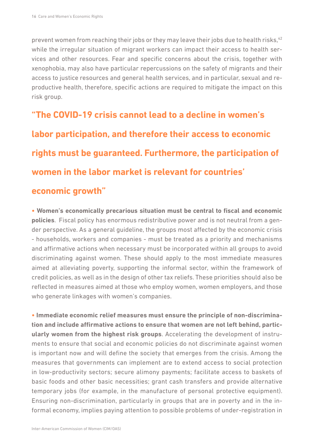prevent women from reaching their jobs or they may leave their jobs due to health risks, 42 while the irregular situation of migrant workers can impact their access to health services and other resources. Fear and specific concerns about the crisis, together with xenophobia, may also have particular repercussions on the safety of migrants and their access to justice resources and general health services, and in particular, sexual and reproductive health, therefore, specific actions are required to mitigate the impact on this risk group.

### **"The COVID-19 crisis cannot lead to a decline in women's labor participation, and therefore their access to economic rights must be guaranteed. Furthermore, the participation of women in the labor market is relevant for countries' economic growth"**

**• Women's economically precarious situation must be central to fiscal and economic policies**. Fiscal policy has enormous redistributive power and is not neutral from a gender perspective. As a general guideline, the groups most affected by the economic crisis - households, workers and companies - must be treated as a priority and mechanisms and affirmative actions when necessary must be incorporated within all groups to avoid discriminating against women. These should apply to the most immediate measures aimed at alleviating poverty, supporting the informal sector, within the framework of credit policies, as well as in the design of other tax reliefs. These priorities should also be reflected in measures aimed at those who employ women, women employers, and those who generate linkages with women's companies.

**• Immediate economic relief measures must ensure the principle of non-discrimination and include affirmative actions to ensure that women are not left behind, particularly women from the highest risk groups**. Accelerating the development of instruments to ensure that social and economic policies do not discriminate against women is important now and will define the society that emerges from the crisis. Among the measures that governments can implement are to extend access to social protection in low-productivity sectors; secure alimony payments; facilitate access to baskets of basic foods and other basic necessities; grant cash transfers and provide alternative temporary jobs (for example, in the manufacture of personal protective equipment). Ensuring non-discrimination, particularly in groups that are in poverty and in the informal economy, implies paying attention to possible problems of under-registration in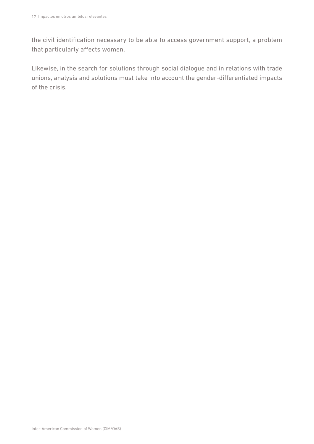the civil identification necessary to be able to access government support, a problem that particularly affects women.

Likewise, in the search for solutions through social dialogue and in relations with trade unions, analysis and solutions must take into account the gender-differentiated impacts of the crisis.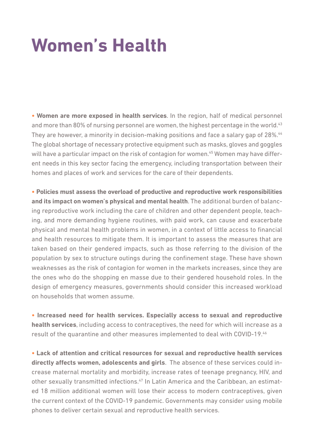## <span id="page-17-0"></span>**Women's Health**

**• Women are more exposed in health services**. In the region, half of medical personnel and more than 80% of nursing personnel are women, the highest percentage in the world.<sup>43</sup> They are however, a minority in decision-making positions and face a salary gap of 28%.<sup>44</sup> The global shortage of necessary protective equipment such as masks, gloves and goggles will have a particular impact on the risk of contagion for women.<sup>45</sup> Women may have different needs in this key sector facing the emergency, including transportation between their homes and places of work and services for the care of their dependents.

**• Policies must assess the overload of productive and reproductive work responsibilities and its impact on women's physical and mental health**. The additional burden of balancing reproductive work including the care of children and other dependent people, teaching, and more demanding hygiene routines, with paid work, can cause and exacerbate physical and mental health problems in women, in a context of little access to financial and health resources to mitigate them. It is important to assess the measures that are taken based on their gendered impacts, such as those referring to the division of the population by sex to structure outings during the confinement stage. These have shown weaknesses as the risk of contagion for women in the markets increases, since they are the ones who do the shopping en masse due to their gendered household roles. In the design of emergency measures, governments should consider this increased workload on households that women assume.

**• Increased need for health services. Especially access to sexual and reproductive health services**, including access to contraceptives, the need for which will increase as a result of the quarantine and other measures implemented to deal with COVID-19.<sup>46</sup>

**• Lack of attention and critical resources for sexual and reproductive health services directly affects women, adolescents and girls**. The absence of these services could increase maternal mortality and morbidity, increase rates of teenage pregnancy, HIV, and other sexually transmitted infections.<sup>47</sup> In Latin America and the Caribbean, an estimated 18 million additional women will lose their access to modern contraceptives, given the current context of the COVID-19 pandemic. Governments may consider using mobile phones to deliver certain sexual and reproductive health services.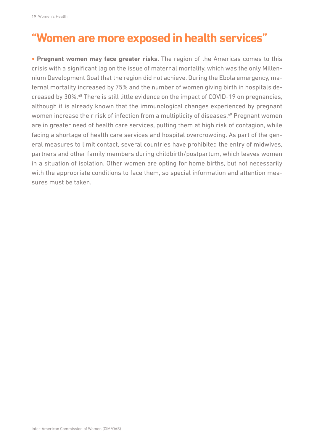#### **"Women are more exposed in health services"**

**• Pregnant women may face greater risks**. The region of the Americas comes to this crisis with a significant lag on the issue of maternal mortality, which was the only Millennium Development Goal that the region did not achieve. During the Ebola emergency, maternal mortality increased by 75% and the number of women giving birth in hospitals decreased by 30%.48 There is still little evidence on the impact of COVID-19 on pregnancies, although it is already known that the immunological changes experienced by pregnant women increase their risk of infection from a multiplicity of diseases.<sup>49</sup> Pregnant women are in greater need of health care services, putting them at high risk of contagion, while facing a shortage of health care services and hospital overcrowding. As part of the general measures to limit contact, several countries have prohibited the entry of midwives, partners and other family members during childbirth/postpartum, which leaves women in a situation of isolation. Other women are opting for home births, but not necessarily with the appropriate conditions to face them, so special information and attention measures must be taken.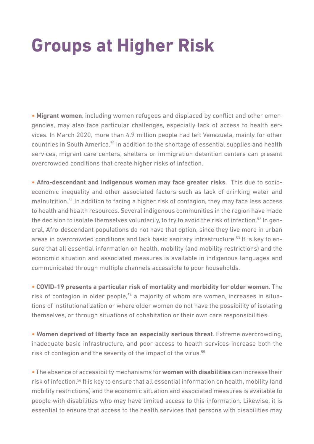## <span id="page-19-0"></span>**Groups at Higher Risk**

**• Migrant women**, including women refugees and displaced by conflict and other emergencies, may also face particular challenges, especially lack of access to health services. In March 2020, more than 4.9 million people had left Venezuela, mainly for other countries in South America.50 In addition to the shortage of essential supplies and health services, migrant care centers, shelters or immigration detention centers can present overcrowded conditions that create higher risks of infection.

**• Afro-descendant and indigenous women may face greater risks**. This due to socioeconomic inequality and other associated factors such as lack of drinking water and malnutrition.51 In addition to facing a higher risk of contagion, they may face less access to health and health resources. Several indigenous communities in the region have made the decision to isolate themselves voluntarily, to try to avoid the risk of infection.<sup>52</sup> In general, Afro-descendant populations do not have that option, since they live more in urban areas in overcrowded conditions and lack basic sanitary infrastructure.<sup>53</sup> It is key to ensure that all essential information on health, mobility (and mobility restrictions) and the economic situation and associated measures is available in indigenous languages and communicated through multiple channels accessible to poor households.

**• COVID-19 presents a particular risk of mortality and morbidity for older women**. The risk of contagion in older people,<sup>54</sup> a majority of whom are women, increases in situations of institutionalization or where older women do not have the possibility of isolating themselves, or through situations of cohabitation or their own care responsibilities.

**• Women deprived of liberty face an especially serious threat**. Extreme overcrowding, inadequate basic infrastructure, and poor access to health services increase both the risk of contagion and the severity of the impact of the virus.<sup>55</sup>

**•** The absence of accessibility mechanisms for **women with disabilities** can increase their risk of infection.56 It is key to ensure that all essential information on health, mobility (and mobility restrictions) and the economic situation and associated measures is available to people with disabilities who may have limited access to this information. Likewise, it is essential to ensure that access to the health services that persons with disabilities may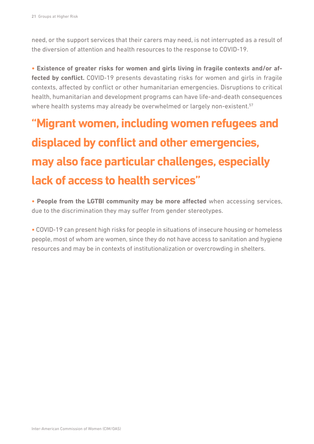need, or the support services that their carers may need, is not interrupted as a result of the diversion of attention and health resources to the response to COVID-19.

**• Existence of greater risks for women and girls living in fragile contexts and/or af**fected by conflict. COVID-19 presents devastating risks for women and girls in fragile contexts, affected by conflict or other humanitarian emergencies. Disruptions to critical health, humanitarian and development programs can have life-and-death consequences where health systems may already be overwhelmed or largely non-existent.<sup>57</sup>

### **"Migrant women, including women refugees and displaced by conflict and other emergencies, may also face particular challenges, especially lack of access to health services"**

**• People from the LGTBI community may be more affected** when accessing services, due to the discrimination they may suffer from gender stereotypes.

**•** COVID-19 can present high risks for people in situations of insecure housing or homeless people, most of whom are women, since they do not have access to sanitation and hygiene resources and may be in contexts of institutionalization or overcrowding in shelters.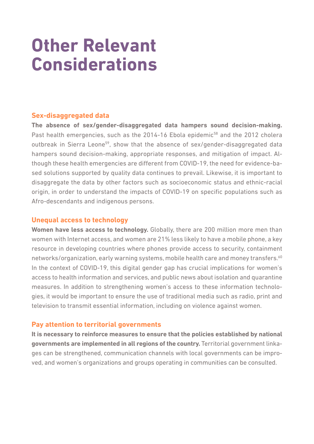## <span id="page-21-0"></span>**Other Relevant Considerations**

#### **Sex-disaggregated data**

**The absence of sex/gender-disaggregated data hampers sound decision-making.** Past health emergencies, such as the 2014-16 Ebola epidemic<sup>58</sup> and the 2012 cholera outbreak in Sierra Leone<sup>59</sup>, show that the absence of sex/gender-disaggregated data hampers sound decision-making, appropriate responses, and mitigation of impact. Although these health emergencies are different from COVID-19, the need for evidence-based solutions supported by quality data continues to prevail. Likewise, it is important to disaggregate the data by other factors such as socioeconomic status and ethnic-racial origin, in order to understand the impacts of COVID-19 on specific populations such as Afro-descendants and indigenous persons.

#### **Unequal access to technology**

**Women have less access to technology.** Globally, there are 200 million more men than women with Internet access, and women are 21% less likely to have a mobile phone, a key resource in developing countries where phones provide access to security, containment networks/organization, early warning systems, mobile health care and money transfers.<sup>60</sup> In the context of COVID-19, this digital gender gap has crucial implications for women's access to health information and services, and public news about isolation and quarantine measures. In addition to strengthening women's access to these information technologies, it would be important to ensure the use of traditional media such as radio, print and television to transmit essential information, including on violence against women.

#### **Pay attention to territorial governments**

**It is necessary to reinforce measures to ensure that the policies established by national governments are implemented in all regions of the country.** Territorial government linkages can be strengthened, communication channels with local governments can be improved, and women's organizations and groups operating in communities can be consulted.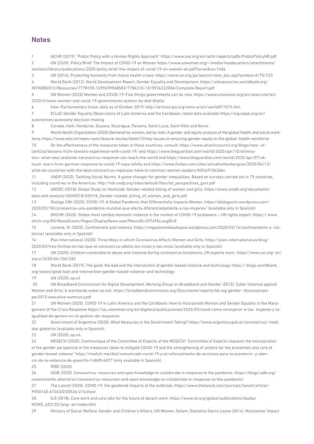#### **Notes**

1 IACHR (2019). "Public Policy with a Human Rights Approach" https://www.oas.org/en/iachr/reports/pdfs/PublicPolicyHR.pdf 2 UN (2020). Policy Brief: The Impact of COVID-19 on Women https://www.unwomen.org/-/media/headquarters/attachments/ sections/library/publications/2020/policy-brief-the-impact-of-covid-19-on-women-en.pdf?la=en&vs=1406

3 UN (2016). Protecting humanity from future health crises. https://www.un.org/ga/search/view\_doc.asp?symbol=A/70/723 4 World Bank (2012). World Development Report. Gender Equality and Development. https://siteresources.worldbank.org/ INTWDR2012/Resources/7778105-1299699968583/7786210-1315936222006/Complete-Report.pdf

5 UN Women (2020) Women and COVID-19: Five things governments can do now. https://www.unwomen.org/en/news/stories/ 2020/3/news-women-and-covid-19-governments-actions-by-ded-bhatia

6 Inter-Parliamentary Union, data as of October 2019: http://archive.ipu.org/wmn-e/arc/world011019.htm

7 ECLAC Gender Equality Observatory of Latin America and the Caribbean, latest data available https://oig.cepal.org/en/ autonomies/autonomy-decision-making

8 Canada, Haiti, Honduras, Guyana, Nicaragua, Panama, Saint Lucia, Saint Kitts and Nevis.

9 World Health Organization (2020) Delivered by women, led by men: A gender and equity analysis of the global health and social workforce. https://www.who.int/news-room/feature-stories/detail/10-key-issues-in-ensuring-gender-equity-in-the-global- health-workforce 10 On the effectiveness of the measures taken in these countries, consult: https://www.atlanticcouncil.org/blogs/new- at-

lanticist/lessons-from-taiwans-experience-with-covid-19/ and https://www.theguardian.com/world/2020/apr/10/elimination- what-new-zealands-coronavirus-response-can-teach-the-world and https://www.theguardian.com/world/2020/apr/07/ukmust- learn-from-german-response-to-covid-19-says-whitty and https://www.forbes.com/sites/avivahwittenbergcox/2020/04/13/ what-do-countries-with-the-best-coronavirus-reponses-have-in-common-women-leaders/#2fcb910b3dec

11 UNDP (2020). Tackling Social Norms. A game changer for gender inequalities. Based on surveys carried out in 75 countries, including countries in the Americas. http://hdr.undp.org/sites/default/files/hd\_perspectives\_gsni.pdf

12 UNODC (2018). Global Study on Homicide: Gender-related killing of women and girls. https://www.unodc.org/documents/ data-and-analysis/GSH2018/GSH18\_Gender-related\_killing\_of\_women\_and\_girls.pdf

13 Dialogo CIM (2020). COVID-19: A Global Pandemic that Differentially Impacts Women. https://dialogocim.wordpress.com/ 2020/03/18/coronavirus-una-pandemia-mundial-que-afecta-diferenciadamente-a-las-mujeres/ (available only in Spanish)

14 OHCHR (2020). States must combat domestic violence in the context of COVID-19 lockdowns – UN rights expert. https:// www. ohchr.org/EN/NewsEvents/Pages/DisplayNews.aspx?NewsID=25749&LangID=E

15 Lorente, M. (2020). Confinement and violence. https://miguelorenteautopsia.wordpress.com/2020/03/16/confinamiento-y- violencia/ (available only in Spanish)

16 Plan International (2020). Three Ways in which Coronavirus Affects Women and Girls. https://plan-international.es/blog/ 2020/03/tres-formas-en-las-que-el-coronavirus-afecta-los-ninos-y-las-ninas (available only in Spanish)

17 UN (2020). Children vulnerable to abuse and violence during coronavirus lockdowns, UN experts warn. https://news.un.org/ en/ story/2020/04/1061282

18 World Bank (2019). The good, the bad and the intersection of gender-based violence and technology https:// blogs.worldbank. org/voices/good-bad-and-intersection-gender-based-violence-and-technology

19 UN (2020), op.cit

 20 UN Broadband Commission for Digital Development, Working Group on Broadband and Gender (2015). Cyber Violence against Women and Girls: A worldwide wake-up call. https://broadbandcommission.org/Documents/reports/bb-wg-gender- discussionpaper2015-executive-summary.pdf

21 UN Women (2020). COVID-19 in Latin America and the Caribbean: How to Incorporate Women and Gender Equality in the Management of the Crisis Response https://lac.unwomen.org/en/digiteca/publicaciones/2020/03/covid-como-incorporar-a-las- mujeres-y-laigualdad-de-genero-en-la-gestion-de-respuesta

22 Government of Argentina (2020). What Measures is the Government Taking? https://www.argentina.gob.ar/coronavirus/ medidas-gobierno (available only in Spanish).

23 UN (2020), op.cit.

24 MESECVI (2020). Communiqué of the Committee of Experts of the MESECVI "Committee of Experts requests the incorporation of the gender perspective in the measures taken to mitigate COVID-19 and the strengthening of actions for the prevention and care of gender-based violence" https://mailchi.mp/dist/comunicado-covid-19-y-el-reforzamiento-de-acciones-para-la-prevencin- y-atencin-de-la-violencia-de-gnero?e=148d9c4077 (only available in Spanish).

25 RIRE (2020)

26 IADB (2020). Coronavirus: resources and open knowledge to collaborate in response to the pandemic. https://blogs.iadb.org/ conocimiento-abierto/en/coronavirus-resources-and-open-knowledge-to-collaborate-in-response-to-the-pandemic/

27 The Lancet (2020). COVID-19: the gendered impacts of the outbreak. https://www.thelancet.com/journals/lancet/article/ PIIS0140-6736(20)30526-2/fulltext

28 ILO (2018). Care work and care jobs for the future of decent work. https://www.ilo.org/global/publications/books/ WCMS\_633135/lang--en/index.htm

29 Ministry of Social Welfare, Gender and Children's Affairs, UN Women, Oxfam, Statistics Sierra Leone (2014). Multisector Impact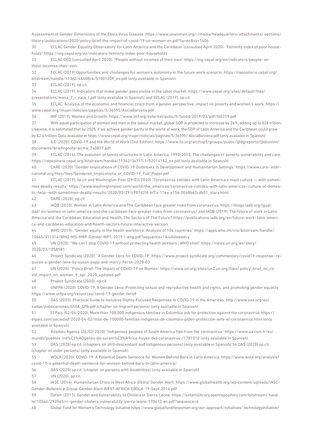Assessment of Gender Dimensions of the Ebola Virus Disease. https://www.unwomen.org/-/media/headquarters/attachments/ sections/ library/publications/2020/policy-brief-the-impact-of-covid-19-on-women-en.pdf?la=en&vs=1406

30 ECLAC Gender Equality Observatory for Latin America and the Caribbean (consulted April 2020). "Feminity index of poor households" https://oig.cepal.org/en/indicators/feminity-index-poor-households

31 ECLAC GEO (consulted April 2020). "People without incomes of their own" https://oig.cepal.org/en/indicators/people- without-incomes-their-own

32 ECLAC (2019) Opportunities and challenges for women's autonomy in the future work scenario. https://repositorio.cepal.org/ bitstream/handle/11362/44408/4/S1801209\_es.pdf (only available in Spanish).

33 ECLAC (2019), op.cit.

34 ECLAC (2019). Indicators that make gender gaps visible in the labor market. https://www.cepal.org/sites/default/files/ presentations/mesa\_7\_i\_vaca\_t.pdf (only available in Spanish) and ECLAC (2019), op.cit.

35 ECLAC. Analysis of the economic and financial crisis from a gender perspective: impact on poverty and women's work. https:// www.cepal.org/mujer/noticias/paginas/5/36595/AliciaBarcena.pdf

36 IMF (2019). Women and Growth. https://www.imf.org/external/pubs/ft/fandd/2019/03/pdf/fd0319.pdf

37 With equal participation of women and men in the labour market, global GDP is projected to increase by 26%, adding up to \$28 trillion. Likewise, it is estimated that by 2025, if we achieve gender parity in the world of work, the GDP of Latin America and the Caribbean could grow by \$2.6 trillion. Data available at https://www.cepal.org/mujer/noticias/paginas/5/36595/ AliciaBarcena.pdf (only available in Spanish)

38 ILO (2020): COVID-19 and the World of Work (2nd Edition). https://www.ilo.org/wcmsp5/groups/public/@dgreports/@dcomm/ documents/briefingnote/wcms\_740877.pdf

39 ECLAC (2014). The evolution of family structures in Latin America, 1990-2010: The challenges of poverty, vulnerability and care. https://repositorio.cepal.org/bitstream/handle/11362/36717/1/S2014182\_es.pdf (only available in Spanish)

40 CARE (2020) "Gender Implications of COVID-19 Outbreaks in Development and Humanitarian Settings" https://www.care- international.org/files/files/Gendered\_Implications\_of\_COVID-19\_Full\_Paper.pdf

41 ECLAC (2019), op.cit and Washington Post (29/03/2020) "Coronavirus collides with Latin America's maid culture — with sometimes deadly results" https://www.washingtonpost.com/world/the\_americas/coronavirus-collides-with-latin-americas- culture-of-domestic-help--with-sometimes-deadly-results/2020/03/29/c987d2f6-6f7a-11ea-a156-0048b62cdb51\_story.html

42 CARE (2020), op.cit

43 IADB (2020). Women in Latin America and The Caribbean face greater risks from coronavirus. https://blogs.iadb.org/igualdad/ en/women-in-latin-america-and-the-caribbean-face-greater-risks-from-coronavirus/ and IADB (2019). The future of work in Latin America and the Caribbean: Education and Health, The Sectors of The Future? https://publications.iadb.org/en/future-work- latin-america-and-caribbean-education-and-health-sectors-future-interactive-version

WHO (2019). "Gender equity in the health workforce: Analysis of 104 countries" https://apps.who.int/iris/bitstream/handle/ 10665/311314/WHO-HIS-HWF-Gender-WP1-2019.1-eng.pdf?sequence=1&isAllowed=y

45 UN (2020) "'We can't stop COVID-19 without protecting health workers': WHO chief" https://news.un.org/en/story/ 2020/03/1058581

46 Project Syndicate (2020). "A Gender Lens for COVID-19" https://www.project-syndicate.org/commentary/covid19-response- requires-a-gender-lens-by-susan-papp-and-marcy-hersh-2020-03

47 UN (2020). "Policy Brief: The Impact of COVID-19 on Women" https://www.un.org/sites/un2.un.org/files/ policy\_brief\_on\_covid impact on women 9 apr 2020 updated.pdf

48 Project Syndicate (2020), op.cit.

49 UNFPA (2020). COVID-19, A Gender Lens: Protecting sexual and reproductive health and rights, and promoting gender equality. https://www.unfpa.org/resources/covid-19-gender-lens#

50 OAS (2020). Practical Guide to Inclusive Rights-Focused Responses to COVID-19 in the Americas. http://www.oas.org/es/ sadye/publicaciones/GUIA\_SPA.pdf (chapter on migrant persons) (only available in Spanish)

51 El País (02/04/2020). More than 100,000 indigenous families in Colombia ask for protection against the coronavirus https:// elpais.com/sociedad/2020-04-02/mas-de-100000-familias-indigenas-de-colombia-piden-proteccion-ante-el-coronavirus.html (only available in Spanish)

52 Anadolu Agency (26/03/2020) "Indigenous peoples of South America flee from the coronavirus" https://www.aa.com.tr/es/ mundo/pueblos-ind%C3%ADgenas-de-suram%C3%A9rica-huyen-del-coronavirus-/1781010 (only available in Spanish)

53 OAS (2020) op.cit. (chapters on afr0-descendant and indigenous persons) (only available in Spanish) 54 OAS (2020) op.cit. (chapter on older persons) (only available in Spanish)

55 WOLA (2020). COVID-19: A Potential Death Sentence for Women Behind Bars in Latin America. https://www.wola.org/analysis/ covid-19-a-potential-death-sentence-for-women-behind-bars-in-latin-america/

56 OAS (2020) op.cit. (chapter on persons with disabilities) (only available in Spanish)

57 UN (2020), op.cit.

58 IASC (2014). Humanitarian Crisis in West Africa (Ebola) Gender Alert. https://www.globalhealth.org/wp-content/uploads/IASC-Gender-Reference-Group-Gender-Alert-WEST-AFRICA-EBOLA-19-Sept-2014.pdf

59 Oxfam (2013). Gender and Vulnerability to Cholera in Sierra Leone. https://oxfamilibrary.openrepository.com/bitstream/ handle/10546/293965/rr-gender-cholera-vulnerability-sierra-leone-170613-en.pdf?sequence=4

60 Global Fund for Women's Technology Initiative https://www.globalfundforwomen.org/our-approach/initiatives/ technologyinitiative/